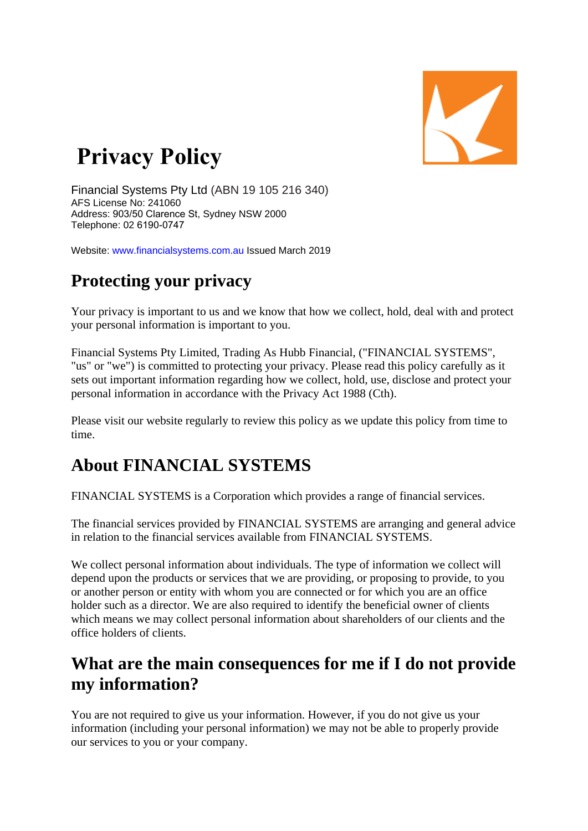

# **Privacy Policy**

Financial Systems Pty Ltd (ABN 19 105 216 340) AFS License No: 241060 Address: 903/50 Clarence St, Sydney NSW 2000 Telephone: 02 6190-0747

Website: www.financialsystems.com.au Issued March 2019

## **Protecting your privacy**

Your privacy is important to us and we know that how we collect, hold, deal with and protect your personal information is important to you.

Financial Systems Pty Limited, Trading As Hubb Financial, ("FINANCIAL SYSTEMS", "us" or "we") is committed to protecting your privacy. Please read this policy carefully as it sets out important information regarding how we collect, hold, use, disclose and protect your personal information in accordance with the Privacy Act 1988 (Cth).

Please visit our website regularly to review this policy as we update this policy from time to time.

# **About FINANCIAL SYSTEMS**

FINANCIAL SYSTEMS is a Corporation which provides a range of financial services.

The financial services provided by FINANCIAL SYSTEMS are arranging and general advice in relation to the financial services available from FINANCIAL SYSTEMS.

We collect personal information about individuals. The type of information we collect will depend upon the products or services that we are providing, or proposing to provide, to you or another person or entity with whom you are connected or for which you are an office holder such as a director. We are also required to identify the beneficial owner of clients which means we may collect personal information about shareholders of our clients and the office holders of clients.

### **What are the main consequences for me if I do not provide my information?**

You are not required to give us your information. However, if you do not give us your information (including your personal information) we may not be able to properly provide our services to you or your company.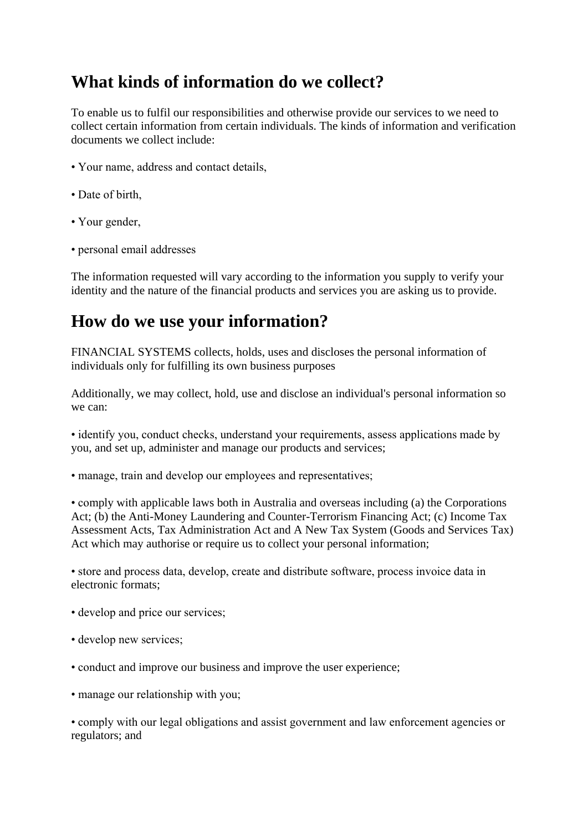# **What kinds of information do we collect?**

To enable us to fulfil our responsibilities and otherwise provide our services to we need to collect certain information from certain individuals. The kinds of information and verification documents we collect include:

- Your name, address and contact details,
- Date of birth,
- Your gender,
- personal email addresses

The information requested will vary according to the information you supply to verify your identity and the nature of the financial products and services you are asking us to provide.

### **How do we use your information?**

FINANCIAL SYSTEMS collects, holds, uses and discloses the personal information of individuals only for fulfilling its own business purposes

Additionally, we may collect, hold, use and disclose an individual's personal information so we can:

• identify you, conduct checks, understand your requirements, assess applications made by you, and set up, administer and manage our products and services;

• manage, train and develop our employees and representatives;

• comply with applicable laws both in Australia and overseas including (a) the Corporations Act; (b) the Anti-Money Laundering and Counter-Terrorism Financing Act; (c) Income Tax Assessment Acts, Tax Administration Act and A New Tax System (Goods and Services Tax) Act which may authorise or require us to collect your personal information;

• store and process data, develop, create and distribute software, process invoice data in electronic formats;

- develop and price our services;
- develop new services;
- conduct and improve our business and improve the user experience;
- manage our relationship with you;

• comply with our legal obligations and assist government and law enforcement agencies or regulators; and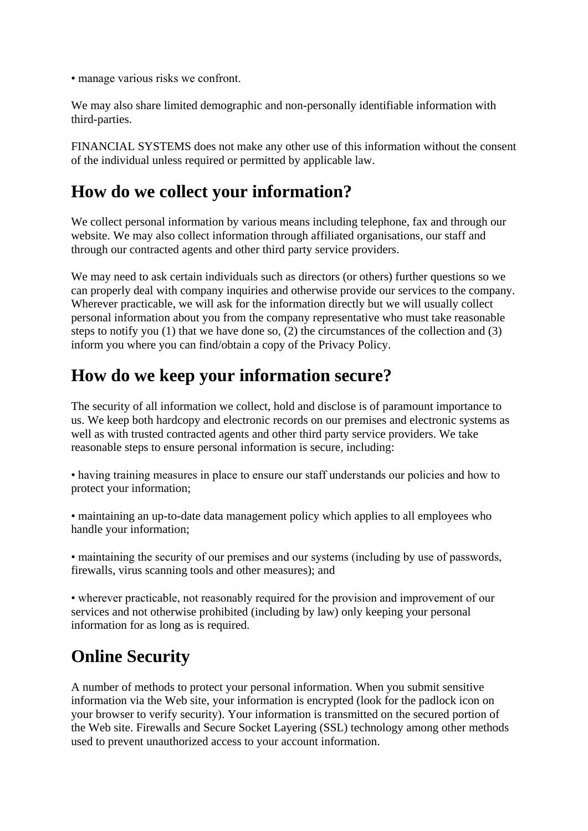• manage various risks we confront.

We may also share limited demographic and non-personally identifiable information with third-parties.

FINANCIAL SYSTEMS does not make any other use of this information without the consent of the individual unless required or permitted by applicable law.

# **How do we collect your information?**

We collect personal information by various means including telephone, fax and through our website. We may also collect information through affiliated organisations, our staff and through our contracted agents and other third party service providers.

We may need to ask certain individuals such as directors (or others) further questions so we can properly deal with company inquiries and otherwise provide our services to the company. Wherever practicable, we will ask for the information directly but we will usually collect personal information about you from the company representative who must take reasonable steps to notify you (1) that we have done so, (2) the circumstances of the collection and (3) inform you where you can find/obtain a copy of the Privacy Policy.

# **How do we keep your information secure?**

The security of all information we collect, hold and disclose is of paramount importance to us. We keep both hardcopy and electronic records on our premises and electronic systems as well as with trusted contracted agents and other third party service providers. We take reasonable steps to ensure personal information is secure, including:

• having training measures in place to ensure our staff understands our policies and how to protect your information;

• maintaining an up-to-date data management policy which applies to all employees who handle your information;

• maintaining the security of our premises and our systems (including by use of passwords, firewalls, virus scanning tools and other measures); and

• wherever practicable, not reasonably required for the provision and improvement of our services and not otherwise prohibited (including by law) only keeping your personal information for as long as is required.

# **Online Security**

A number of methods to protect your personal information. When you submit sensitive information via the Web site, your information is encrypted (look for the padlock icon on your browser to verify security). Your information is transmitted on the secured portion of the Web site. Firewalls and Secure Socket Layering (SSL) technology among other methods used to prevent unauthorized access to your account information.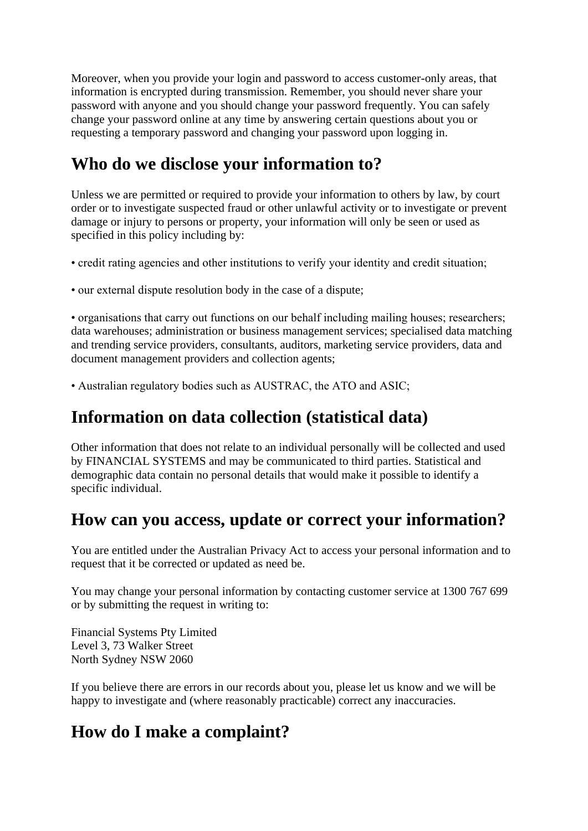Moreover, when you provide your login and password to access customer-only areas, that information is encrypted during transmission. Remember, you should never share your password with anyone and you should change your password frequently. You can safely change your password online at any time by answering certain questions about you or requesting a temporary password and changing your password upon logging in.

### **Who do we disclose your information to?**

Unless we are permitted or required to provide your information to others by law, by court order or to investigate suspected fraud or other unlawful activity or to investigate or prevent damage or injury to persons or property, your information will only be seen or used as specified in this policy including by:

• credit rating agencies and other institutions to verify your identity and credit situation;

• our external dispute resolution body in the case of a dispute;

• organisations that carry out functions on our behalf including mailing houses; researchers; data warehouses; administration or business management services; specialised data matching and trending service providers, consultants, auditors, marketing service providers, data and document management providers and collection agents;

• Australian regulatory bodies such as AUSTRAC, the ATO and ASIC;

### **Information on data collection (statistical data)**

Other information that does not relate to an individual personally will be collected and used by FINANCIAL SYSTEMS and may be communicated to third parties. Statistical and demographic data contain no personal details that would make it possible to identify a specific individual.

### **How can you access, update or correct your information?**

You are entitled under the Australian Privacy Act to access your personal information and to request that it be corrected or updated as need be.

You may change your personal information by contacting customer service at 1300 767 699 or by submitting the request in writing to:

Financial Systems Pty Limited Level 3, 73 Walker Street North Sydney NSW 2060

If you believe there are errors in our records about you, please let us know and we will be happy to investigate and (where reasonably practicable) correct any inaccuracies.

### **How do I make a complaint?**